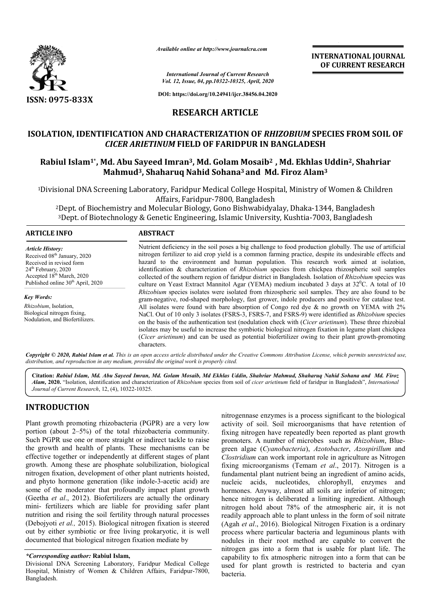

*Available online at http://www.journalcra.com*

*International Journal of Current Research Vol. 12, Issue, 04, pp.10322-10325, April, 2020*

**DOI: https://doi.org/10.24941/ijcr.38456.04.2020**

# **RESEARCH ARTICLE**

# **ISOLATION, IDENTIFICATION AND CHARACTERIZATION OF**  *RHIZOBIUM*  **SPECIES FROM SOIL OF**  *CICER ARIETINUM* **FIELD OF FARIDPUR IN BANGLADESH**

# Rabiul Islam<sup>1\*</sup>, Md. Abu Sayeed Imran<sup>3</sup>, Md. Golam Mosaib<sup>2</sup>, Md. Ekhlas Uddin<sup>2</sup>, Shahriar **Mahmud<sup>3</sup>, Shaharuq Nahid Sohana<sup>3</sup> and Md. Firoz Alam<sup>3</sup>**

1Divisional DNA Screening Laboratory, Faridpur Medical College Hospital, Ministry of Women & Children Divisional Affairs, Faridpur-7800, Bangladesh ional DNA Screening Laboratory, Faridpur Medical College Hospital, Ministry of Women & Chi<br>Affairs, Faridpur-7800, Bangladesh<br>Dept. of Biochemistry and Molecular Biology, Gono Bishwabidyalay, Dhaka-1344, Bangladesh?

'Dept. of Biochemistry and Molecular Biology, Gono Bishwabidyalay, Dhaka-1344, Bangladesl<br><sup>3</sup>Dept. of Biotechnology & Genetic Engineering, Islamic University, Kushtia-7003, Bangladesh

### **ARTICLE INFO ABSTRACT**

*Article History:* Received 08<sup>th</sup> January, 2020 Received in revised form 24<sup>th</sup> February, 2020 Accepted 18<sup>th</sup> March, 2020 Published online 30<sup>th</sup> April, 2020

*Key Words: Rhizobium*, Isolation, Biological nitrogen fixing, Nodulation, and Biofertilizers. Nutrient deficiency in the soil poses a big challenge to food production globally. The use of artificial nitrogen fertilizer to aid crop yield is a common farming practice, despite its undesirable effects and hazard to the environment and human population. This research work aimed at isolation, identification & characterization of *Rhizobium* species from chickpea rhizospheric soil samples collected of the southern region of faridpur district in Bangladesh. Isolation of *Rhizobium* species was culture on Yeast Extract Mannitol Agar (YEMA) medium incubated 3 days at 32<sup>0</sup>C. A total of 10 *Rhizobium*  species isolates were isolated from rhizospheric soil samples. They are also found to be Rhizobium species isolates were isolated from rhizospheric soil samples. They are also found to be gram-negative, rod-shaped morphology, fast grower, indole producers and positive for catalase test. All isolates were found with bare absorption of Congo red dye & no growth on YEMA with 2% All isolates were found with bare absorption of Congo red dye & no growth on YEMA with 2% NaCl. Out of 10 only 3 isolates (FSRS-3, FSRS-7, and FSRS-9) were identified as *Rhizobium* species on the basis of the authentication test (nodulation check with (*Cicer arietinum*). These three rhizobial isolates may be useful to increase the symbiotic biological nitrogen fixation in legume plant chickpea isolates may be useful to increase the symbiotic biological nitrogen fixation in legume plant chickpea<br>(*Cicer arietinum*) and can be used as potential biofertilizer owing to their plant growth-promoting characters. Nutrient deficiency in the soil poses a big challenge to food production globally. The use of artificial nitrogen fertilizer to aid crop yield is a common farming practice, despite its undesirable effects and hazard to the

Copyright © 2020, Rabiul Islam et al. This is an open access article distributed under the Creative Commons Attribution License, which permits unrestricted use, *distribution, and reproduction in any medium, provided the original work is properly cited.*

Citation: Rabiul Islam, Md. Abu Sayeed Imran, Md. Golam Mosaib, Md Ekhlas Uddin, Shahriar Mahmud, Shaharuq Nahid Sohana and Md. Firoz Alam, 2020. "Isolation, identification and characterization of *Rhizobium* species from soil of *cicer arietinum* field of faridpur in Bangladesh", *International Journal of Current Research*, 12, (4), 10322-10325.

## **INTRODUCTION**

Plant growth promoting rhizobacteria (PGPR) are a very low portion (about 2–5%) of the total rhizobacteria community. Such PGPR use one or more straight or indirect tackle to raise the growth and health of plants. These mechanisms can be effective together or independently at different stages of plant growth. Among these are phosphate solubilization, biological nitrogen fixation, development of other plant nutrients hoisted, and phyto hormone generation (like indole-3-acetic acid) are some of the moderator that profoundly impact plant growth (Geetha *et al*., 2012). Biofertilizers are actually the ordinary mini- fertilizers which are liable for providing safer plant nutrition and rising the soil fertility through natural processes (Debojyoti *et al.,* 2015). Biological nitrogen fixation is steered out by either symbiotic or free living prokaryotic, it is well documented that biological nitrogen fixation mediate by 5%) of the total rhizobacteria community.<br>ne or more straight or indirect tackle to raise<br>ealth of plants. These mechanisms can be<br>or independently at different stages of plant<br>nese are phosphate solubilization, biological at profoundly impact plant growth<br>fertilizers are actually the ordinary<br>reliable for providing safer plant<br>il fertility through natural processes<br>iological nitrogen fixation is steered<br>r free living prokaryotic, it is well nitrogennase enzymes is a process significant to the biological activity of soil. Soil microorganisms that have retention of fixing nitrogen have repeatedly been reported as plant growth promoters. A number of microbes such as *Rhizobium*, Bluegreen algae (Cyanobacteria), Azotobacter, Azospirillum and Clostridium can work important role in agriculture as Nitrogen fixing microorganisms (Temam *et al*., 2017). Nitrogen is a fundamental plant nutrient being an ingredient of amino acids, nucleic acids, nucleotides, chlorophyll, enzymes and hormones. Anyway, almost all soils are inferior of nitrogen; hence nitrogen is deliberated a limiting ingredient. Although nitrogen hold about 78% of the atmospheric air, it is not readily approach able to plant unless in the form of soil nitrate (Agah *et al*., 2016). Biological Nitrogen Fixation is a ordinary process where particular bacteria and leguminous plants with nodules in their root method are capable to convert the nitrogen gas into a form that is usable for plant life. The capability to fix atmospheric nitrogen into a form that can be used for plant growth is restricted to bacteria and cyan bacteria. nitrogennase enzymes is a process significant to the biological activity of soil. Soil microorganisms that have retention of fixing nitrogen have repeatedly been reported as plant growth **EXERNATIONAL FOUNDAL CONTING (CHROROPY CONTROL)**<br> **CONTROL CONTROL CONTROL CONTROL CONTROL CONTROL CONTROL CONTROL CONTROL CONTROL CONTROL CONTROL CONTROL CONTROL CONTROL CONTROL CONTROL CONTROL CONTROL CONTROL CONTROL CO** 

**INTERNATIONAL JOURNAL OF CURRENT RESEARCH**

*<sup>\*</sup>Corresponding author:* **Rabiul Islam,**

Divisional DNA Screening Laboratory, Faridpur Medical College Hospital, Ministry of Women & Children Affairs, Faridpur-7800, Bangladesh.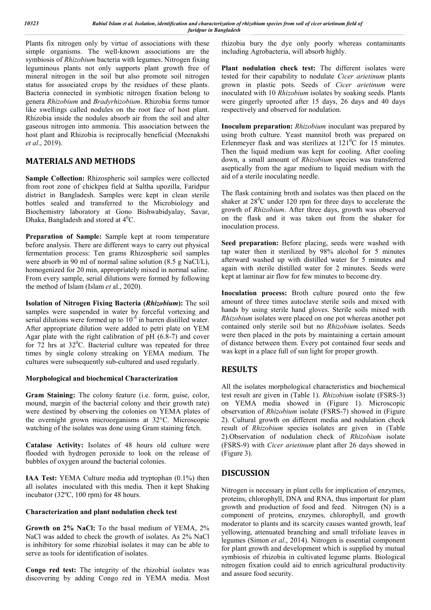Plants fix nitrogen only by virtue of associations with these simple organisms. The well-known associations are the symbiosis of *Rhizobium* bacteria with legumes. Nitrogen fixing leguminous plants not only supports plant growth free of mineral nitrogen in the soil but also promote soil nitrogen status for associated crops by the residues of these plants. Bacteria connected in symbiotic nitrogen fixation belong to genera *Rhizobium* and *Bradyrhizobium*. Rhizobia forms tumor like swellings called nodules on the root face of host plant. Rhizobia inside the nodules absorb air from the soil and alter gaseous nitrogen into ammonia. This association between the host plant and Rhizobia is reciprocally beneficial (Meenakshi *et al*., 2019).

# **MATERIALS AND METHODS**

**Sample Collection:** Rhizospheric soil samples were collected from root zone of chickpea field at Saltha upozilla, Faridpur district in Bangladesh. Samples were kept in clean sterile bottles sealed and transferred to the Microbiology and Biochemistry laboratory at Gono Bishwabidyalay, Savar, Dhaka, Bangladesh and stored at  $4^0C$ .

**Preparation of Sample:** Sample kept at room temperature before analysis. There are different ways to carry out physical fermentation process: Ten grams Rhizospheric soil samples were absorb in 90 ml of normal saline solution (8.5 g NaCl/L), homogenized for 20 min, appropriately mixed in normal saline. From every sample, serial dilutions were formed by following the method of Islam (Islam *et* al., 2020).

**Isolation of Nitrogen Fixing Bacteria (***Rhizobium***):** The soil samples were suspended in water by forceful vortexing and serial dilutions were formed up to  $10^{-6}$  in barren distilled water. After appropriate dilution were added to petri plate on YEM Agar plate with the right calibration of  $pH (6.8-7)$  and cover for  $72$  hrs at  $32^0$ C. Bacterial culture was repeated for three times by single colony streaking on YEMA medium. The cultures were subsequently sub-cultured and used regularly.

## **Morphological and biochemical Characterization**

**Gram Staining:** The colony feature (i.e. form, guise, color, mound, margin of the bacterial colony and their growth rate) were destined by observing the colonies on YEMA plates of the overnight grown microorganisms at 32°C. Microscopic watching of the isolates was done using Gram staining fetch.

**Catalase Activity:** Isolates of 48 hours old culture were flooded with hydrogen peroxide to look on the release of bubbles of oxygen around the bacterial colonies.

**IAA Test:** YEMA Culture media add tryptophan (0.1%) then all isolates inoculated with this media. Then it kept Shaking incubator (32ºC, 100 rpm) for 48 hours.

### **Characterization and plant nodulation check test**

**Growth on 2% NaCl:** To the basal medium of YEMA, 2% NaCl was added to check the growth of isolates. As 2% NaCl is inhibitory for some rhizobial isolates it may can be able to serve as tools for identification of isolates.

**Congo red test:** The integrity of the rhizobial isolates was discovering by adding Congo red in YEMA media. Most

rhizobia bury the dye only poorly whereas contaminants including Agrobacteria, will absorb highly.

Plant nodulation check test: The different isolates were tested for their capability to nodulate *Cicer arietinum* plants grown in plastic pots. Seeds of *Cicer arietinum* were inoculated with 10 *Rhizobium* isolates by soaking seeds. Plants were gingerly uprooted after 15 days, 26 days and 40 days respectively and observed for nodulation.

**Inoculum preparation:** *Rhizobium* inoculant was prepared by using broth culture. Yeast mannitol broth was prepared on Erlenmeyer flask and was sterilizes at  $121^0C$  for 15 minutes. Then the liquid medium was kept for cooling. After cooling down, a small amount of *Rhizobium* species was transferred aseptically from the agar medium to liquid medium with the aid of a sterile inoculating needle.

The flask containing broth and isolates was then placed on the shaker at  $28^{\circ}$ C under 120 rpm for three days to accelerate the growth of *Rhizobium*. After three days, growth was observed on the flask and it was taken out from the shaker for inoculation process.

**Seed preparation:** Before placing, seeds were washed with tap water then it sterilized by 98% alcohol for 5 minutes afterward washed up with distilled water for 5 minutes and again with sterile distilled water for 2 minutes. Seeds were kept at laminar air flow for few minutes to become dry.

**Inoculation process:** Broth culture poured onto the few amount of three times autoclave sterile soils and mixed with hands by using sterile hand gloves. Sterile soils mixed with *Rhizobium* isolates were placed on one pot whereas another pot contained only sterile soil but no *Rhizobium* isolates. Seeds were then placed in the pots by maintaining a certain amount of distance between them. Every pot contained four seeds and was kept in a place full of sun light for proper growth.

## **RESULTS**

All the isolates morphological characteristics and biochemical test result are given in (Table 1). *Rhizobium* isolate (FSRS-3) on YEMA media showed in (Figure 1). Microscopic observation of *Rhizobium* isolate (FSRS-7) showed in (Figure 2). Cultural growth on different media and nodulation check result of *Rhizobium* species isolates are given in (Table 2).Observation of nodulation check of *Rhizobium* isolate (FSRS-9) with *Cicer arietinum* plant after 26 days showed in (Figure 3).

## **DISCUSSION**

Nitrogen is necessary in plant cells for implication of enzymes, proteins, chlorophyll, DNA and RNA, thus important for plant growth and production of food and feed. Nitrogen (N) is a component of proteins, enzymes, chlorophyll, and growth moderator to plants and its scarcity causes wanted growth, leaf yellowing, attenuated branching and small trifoliate leaves in legumes (Simon *et al*., 2014). Nitrogen is essential component for plant growth and development which is supplied by mutual symbiosis of rhizobia in cultivated legume plants. Biological nitrogen fixation could aid to enrich agricultural productivity and assure food security.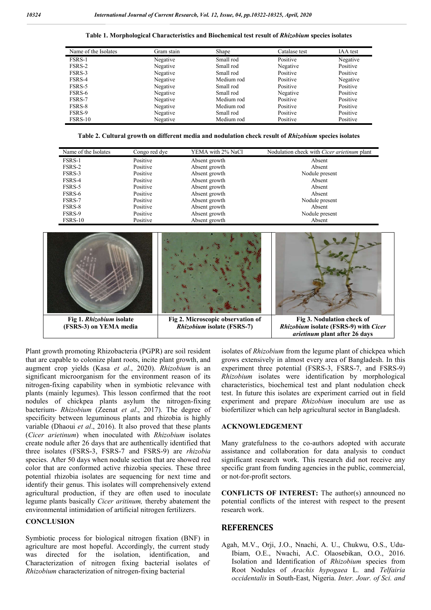**Table 1. Morphological Characteristics and Biochemical test result of** *Rhizobium* **species isolates**

| Name of the Isolates | Gram stain | Shape      | Catalase test | IAA test |
|----------------------|------------|------------|---------------|----------|
| FSRS-1               | Negative   | Small rod  | Positive      | Negative |
| FSRS-2               | Negative   | Small rod  | Negative      | Positive |
| FSRS-3               | Negative   | Small rod  | Positive      | Positive |
| FSRS-4               | Negative   | Medium rod | Positive      | Negative |
| FSRS-5               | Negative   | Small rod  | Positive      | Positive |
| FSRS-6               | Negative   | Small rod  | Negative      | Positive |
| FSRS-7               | Negative   | Medium rod | Positive      | Positive |
| FSRS-8               | Negative   | Medium rod | Positive      | Positive |
| FSRS-9               | Negative   | Small rod  | Positive      | Positive |
| FSRS-10              | Negative   | Medium rod | Positive      | Positive |

**Table 2. Cultural growth on different media and nodulation check result of** *Rhizobium* **species isolates**

| Name of the Isolates | Congo red dye | YEMA with 2% NaCl | Nodulation check with <i>Cicer arietinum</i> plant |
|----------------------|---------------|-------------------|----------------------------------------------------|
| FSRS-1               | Positive      | Absent growth     | Absent                                             |
| FSRS-2               | Positive      | Absent growth     | Absent                                             |
| FSRS-3               | Positive      | Absent growth     | Nodule present                                     |
| FSRS-4               | Positive      | Absent growth     | Absent                                             |
| FSRS-5               | Positive      | Absent growth     | Absent                                             |
| FSRS-6               | Positive      | Absent growth     | Absent                                             |
| FSRS-7               | Positive      | Absent growth     | Nodule present                                     |
| FSRS-8               | Positive      | Absent growth     | Absent                                             |
| FSRS-9               | Positive      | Absent growth     | Nodule present                                     |
| FSRS-10              | Positive      | Absent growth     | Absent                                             |



Plant growth promoting Rhizobacteria (PGPR) are soil resident that are capable to colonize plant roots, incite plant growth, and augment crop yields (Kasa *et al*., 2020). *Rhizobium* is an significant microorganism for the environment reason of its nitrogen-fixing capability when in symbiotic relevance with plants (mainly legumes). This lesson confirmed that the root nodules of chickpea plants asylum the nitrogen-fixing bacterium- *Rhizobium* (Zeenat *et al*., 2017). The degree of specificity between leguminous plants and rhizobia is highly variable (Dhaoui *et al*., 2016). It also proved that these plants (*Cicer arietinum*) when inoculated with *Rhizobium* isolates create nodule after 26 days that are authentically identified that three isolates (FSRS-3, FSRS-7 and FSRS-9) are *rhizobia*  species. After 50 days when nodule section that are showed red color that are conformed active rhizobia species. These three potential rhizobia isolates are sequencing for next time and identify their genus. This isolates will comprehensively extend agricultural production, if they are often used to inoculate legume plants basically *Cicer aritinum,* thereby abatement the environmental intimidation of artificial nitrogen fertilizers.

## **CONCLUSION**

Symbiotic process for biological nitrogen fixation (BNF) in agriculture are most hopeful. Accordingly, the current study was directed for the isolation, identification, and Characterization of nitrogen fixing bacterial isolates of *Rhizobium* characterization of nitrogen-fixing bacterial

isolates of *Rhizobium* from the legume plant of chickpea which grows extensively in almost every area of Bangladesh. In this experiment three potential (FSRS-3, FSRS-7, and FSRS-9) *Rhizobium* isolates were identification by morphological characteristics, biochemical test and plant nodulation check test. In future this isolates are experiment carried out in field experiment and prepare *Rhizobium* inoculum are use as biofertilizer which can help agricultural sector in Bangladesh.

#### **ACKNOWLEDGEMENT**

Many gratefulness to the co-authors adopted with accurate assistance and collaboration for data analysis to conduct significant research work. This research did not receive any specific grant from funding agencies in the public, commercial, or not-for-profit sectors.

**CONFLICTS OF INTEREST:** The author(s) announced no potential conflicts of the interest with respect to the present research work.

## **REFERENCES**

Agah, M.V., Orji, J.O., Nnachi, A. U., Chukwu, O.S., Udu-Ibiam, O.E., Nwachi, A.C. Olaosebikan, O.O., 2016. Isolation and Identification of *Rhizobium* species from Root Nodules of *Arachis hypogaea* L. and *Telfairia occidentalis* in South-East, Nigeria. *Inter. Jour. of Sci. and*